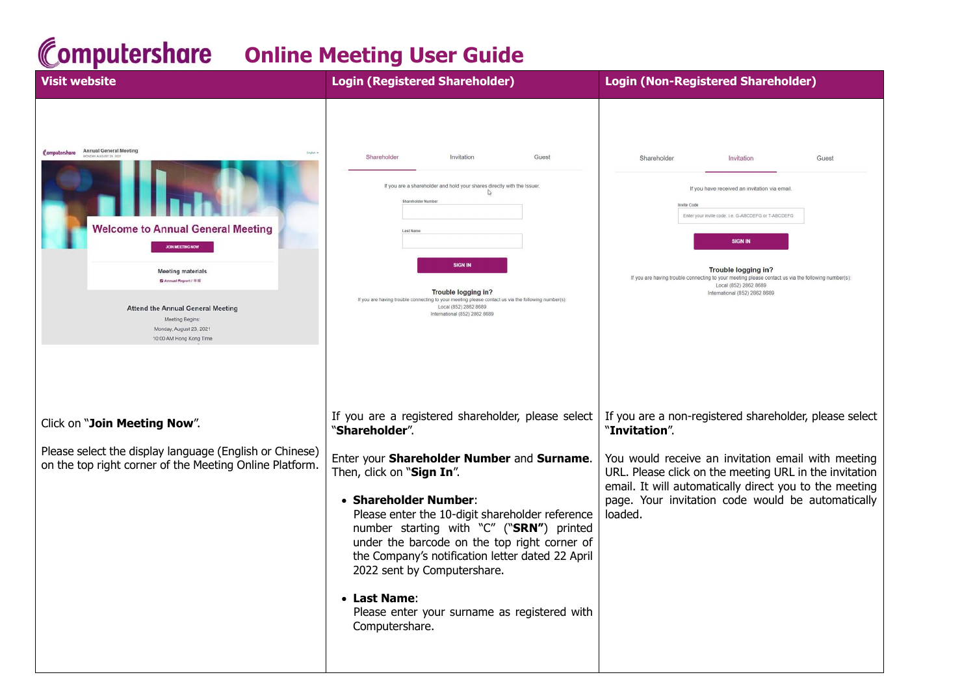## **Computershare Online Meeting User Guide**

| <b>Visit website</b>                                                                                                                                                                                                                                      | <b>Login (Registered Shareholder)</b>                                                                                                                                                                                                                                                                                                                                                                                                                                                        | <b>Login (Non-Registered Shareholder)</b>                                                                                                                                                                                                                                                                                                                                 |
|-----------------------------------------------------------------------------------------------------------------------------------------------------------------------------------------------------------------------------------------------------------|----------------------------------------------------------------------------------------------------------------------------------------------------------------------------------------------------------------------------------------------------------------------------------------------------------------------------------------------------------------------------------------------------------------------------------------------------------------------------------------------|---------------------------------------------------------------------------------------------------------------------------------------------------------------------------------------------------------------------------------------------------------------------------------------------------------------------------------------------------------------------------|
| Computershore Annual General Meeting<br><b>Welcome to Annual General Meeting</b><br><b>Meeting materials</b><br>G Annual Report / 年報<br><b>Attend the Annual General Meeting</b><br>Meeting Begins:<br>Monday, August 23, 2021<br>10:00 AM Hong Kong Time | Shareholder<br>Invitation<br>Guest<br>If you are a shareholder and hold your shares directly with the Issuer.<br>▷<br>Shareholder Number<br><b>SIGN IN</b><br>Trouble logging in?<br>If you are having trouble connecting to your meeting please contact us via the following number(s):<br>Local (852) 2862 8689<br>International (852) 2862 8689                                                                                                                                           | Shareholder<br>Invitation<br>Guest<br>If you have received an invitation via email.<br>Invite Code<br>Enter your invite code, i.e. G-ABCDEFG or T-ABCDEFG<br><b>SIGN IN</b><br><b>Trouble logging in?</b><br>If you are having trouble connecting to your meeting please contact us via the following number(s)<br>Local (852) 2862 8689<br>International (852) 2862 8689 |
| Click on "Join Meeting Now".<br>Please select the display language (English or Chinese)<br>on the top right corner of the Meeting Online Platform.                                                                                                        | If you are a registered shareholder, please select<br>"Shareholder".<br>Enter your Shareholder Number and Surname.<br>Then, click on "Sign In".<br>• Shareholder Number:<br>Please enter the 10-digit shareholder reference<br>number starting with "C" ("SRN") printed<br>under the barcode on the top right corner of<br>the Company's notification letter dated 22 April<br>2022 sent by Computershare.<br>• Last Name:<br>Please enter your surname as registered with<br>Computershare. | If you are a non-registered shareholder, please select<br>"Invitation".<br>You would receive an invitation email with meeting<br>URL. Please click on the meeting URL in the invitation<br>email. It will automatically direct you to the meeting<br>page. Your invitation code would be automatically<br>loaded.                                                         |